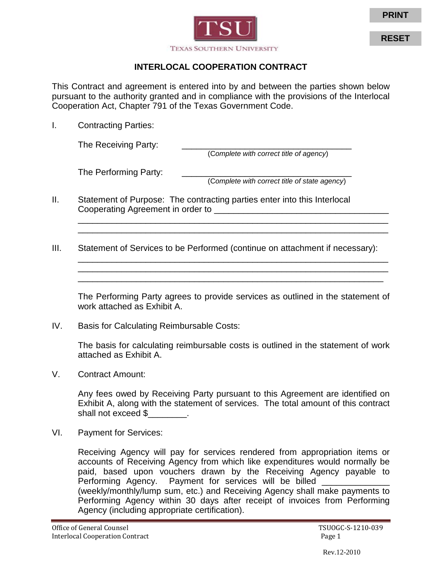

## **INTERLOCAL COOPERATION CONTRACT**

This Contract and agreement is entered into by and between the parties shown below pursuant to the authority granted and in compliance with the provisions of the Interlocal Cooperation Act, Chapter 791 of the Texas Government Code.

I. Contracting Parties:

The Receiving Party: \_\_\_\_\_\_\_\_\_\_\_\_\_\_\_\_\_\_\_\_\_\_\_\_\_\_\_\_\_\_\_\_\_\_\_ (C*omplete with correct title of agency*)

The Performing Party: \_\_\_\_\_\_\_\_\_\_\_\_\_\_\_\_\_\_\_\_\_\_\_\_\_\_\_\_\_\_\_\_\_\_\_

(C*omplete with correct title of state agency*)

- II. Statement of Purpose: The contracting parties enter into this Interlocal Cooperating Agreement in order to \_\_\_\_\_\_\_\_\_\_\_\_\_\_\_\_\_\_\_\_\_\_\_\_\_\_\_\_\_\_\_\_\_\_\_\_
- III. Statement of Services to be Performed (continue on attachment if necessary):

The Performing Party agrees to provide services as outlined in the statement of work attached as Exhibit A.

\_\_\_\_\_\_\_\_\_\_\_\_\_\_\_\_\_\_\_\_\_\_\_\_\_\_\_\_\_\_\_\_\_\_\_\_\_\_\_\_\_\_\_\_\_\_\_\_\_\_\_\_\_\_\_\_\_\_\_\_\_\_\_\_ \_\_\_\_\_\_\_\_\_\_\_\_\_\_\_\_\_\_\_\_\_\_\_\_\_\_\_\_\_\_\_\_\_\_\_\_\_\_\_\_\_\_\_\_\_\_\_\_\_\_\_\_\_\_\_\_\_\_\_\_\_\_\_\_

\_\_\_\_\_\_\_\_\_\_\_\_\_\_\_\_\_\_\_\_\_\_\_\_\_\_\_\_\_\_\_\_\_\_\_\_\_\_\_\_\_\_\_\_\_\_\_\_\_\_\_\_\_\_\_\_\_\_\_\_\_\_\_\_ \_\_\_\_\_\_\_\_\_\_\_\_\_\_\_\_\_\_\_\_\_\_\_\_\_\_\_\_\_\_\_\_\_\_\_\_\_\_\_\_\_\_\_\_\_\_\_\_\_\_\_\_\_\_\_\_\_\_\_\_\_\_\_\_

IV. Basis for Calculating Reimbursable Costs:

The basis for calculating reimbursable costs is outlined in the statement of work attached as Exhibit A.

V. Contract Amount:

Any fees owed by Receiving Party pursuant to this Agreement are identified on Exhibit A, along with the statement of services. The total amount of this contract shall not exceed \$ The shall not exceed \$

VI. Payment for Services:

Receiving Agency will pay for services rendered from appropriation items or accounts of Receiving Agency from which like expenditures would normally be paid, based upon vouchers drawn by the Receiving Agency payable to Performing Agency. Payment for services will be billed (weekly/monthly/lump sum, etc.) and Receiving Agency shall make payments to Performing Agency within 30 days after receipt of invoices from Performing Agency (including appropriate certification).

**RESET**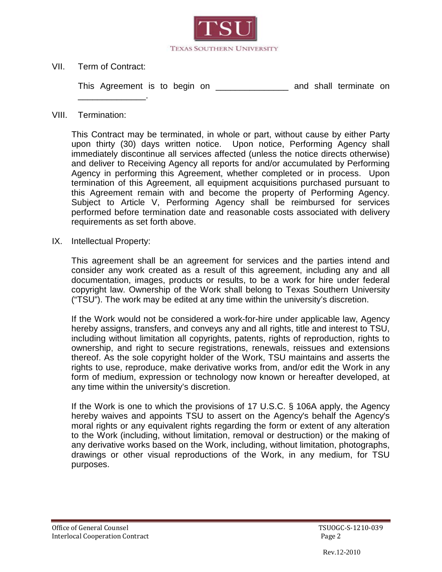

VII. Term of Contract:

\_\_\_\_\_\_\_\_\_\_\_\_\_\_.

This Agreement is to begin on \_\_\_\_\_\_\_\_\_\_\_\_\_\_\_\_\_ and shall terminate on

## VIII. Termination:

This Contract may be terminated, in whole or part, without cause by either Party upon thirty (30) days written notice. Upon notice, Performing Agency shall immediately discontinue all services affected (unless the notice directs otherwise) and deliver to Receiving Agency all reports for and/or accumulated by Performing Agency in performing this Agreement, whether completed or in process. Upon termination of this Agreement, all equipment acquisitions purchased pursuant to this Agreement remain with and become the property of Performing Agency. Subject to Article V, Performing Agency shall be reimbursed for services performed before termination date and reasonable costs associated with delivery requirements as set forth above.

IX. Intellectual Property:

This agreement shall be an agreement for services and the parties intend and consider any work created as a result of this agreement, including any and all documentation, images, products or results, to be a work for hire under federal copyright law. Ownership of the Work shall belong to Texas Southern University ("TSU"). The work may be edited at any time within the university's discretion.

If the Work would not be considered a work-for-hire under applicable law, Agency hereby assigns, transfers, and conveys any and all rights, title and interest to TSU, including without limitation all copyrights, patents, rights of reproduction, rights to ownership, and right to secure registrations, renewals, reissues and extensions thereof. As the sole copyright holder of the Work, TSU maintains and asserts the rights to use, reproduce, make derivative works from, and/or edit the Work in any form of medium, expression or technology now known or hereafter developed, at any time within the university's discretion.

If the Work is one to which the provisions of 17 U.S.C. § 106A apply, the Agency hereby waives and appoints TSU to assert on the Agency's behalf the Agency's moral rights or any equivalent rights regarding the form or extent of any alteration to the Work (including, without limitation, removal or destruction) or the making of any derivative works based on the Work, including, without limitation, photographs, drawings or other visual reproductions of the Work, in any medium, for TSU purposes.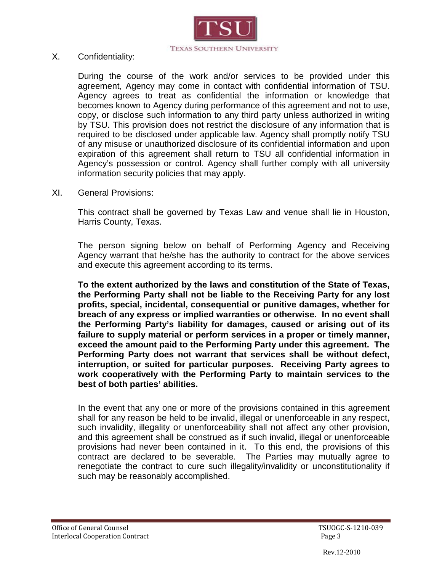

X. Confidentiality:

During the course of the work and/or services to be provided under this agreement, Agency may come in contact with confidential information of TSU. Agency agrees to treat as confidential the information or knowledge that becomes known to Agency during performance of this agreement and not to use, copy, or disclose such information to any third party unless authorized in writing by TSU. This provision does not restrict the disclosure of any information that is required to be disclosed under applicable law. Agency shall promptly notify TSU of any misuse or unauthorized disclosure of its confidential information and upon expiration of this agreement shall return to TSU all confidential information in Agency's possession or control. Agency shall further comply with all university information security policies that may apply.

XI. General Provisions:

This contract shall be governed by Texas Law and venue shall lie in Houston, Harris County, Texas.

The person signing below on behalf of Performing Agency and Receiving Agency warrant that he/she has the authority to contract for the above services and execute this agreement according to its terms.

**To the extent authorized by the laws and constitution of the State of Texas, the Performing Party shall not be liable to the Receiving Party for any lost profits, special, incidental, consequential or punitive damages, whether for breach of any express or implied warranties or otherwise. In no event shall the Performing Party's liability for damages, caused or arising out of its failure to supply material or perform services in a proper or timely manner, exceed the amount paid to the Performing Party under this agreement. The Performing Party does not warrant that services shall be without defect, interruption, or suited for particular purposes. Receiving Party agrees to work cooperatively with the Performing Party to maintain services to the best of both parties' abilities.**

In the event that any one or more of the provisions contained in this agreement shall for any reason be held to be invalid, illegal or unenforceable in any respect, such invalidity, illegality or unenforceability shall not affect any other provision, and this agreement shall be construed as if such invalid, illegal or unenforceable provisions had never been contained in it. To this end, the provisions of this contract are declared to be severable. The Parties may mutually agree to renegotiate the contract to cure such illegality/invalidity or unconstitutionality if such may be reasonably accomplished.